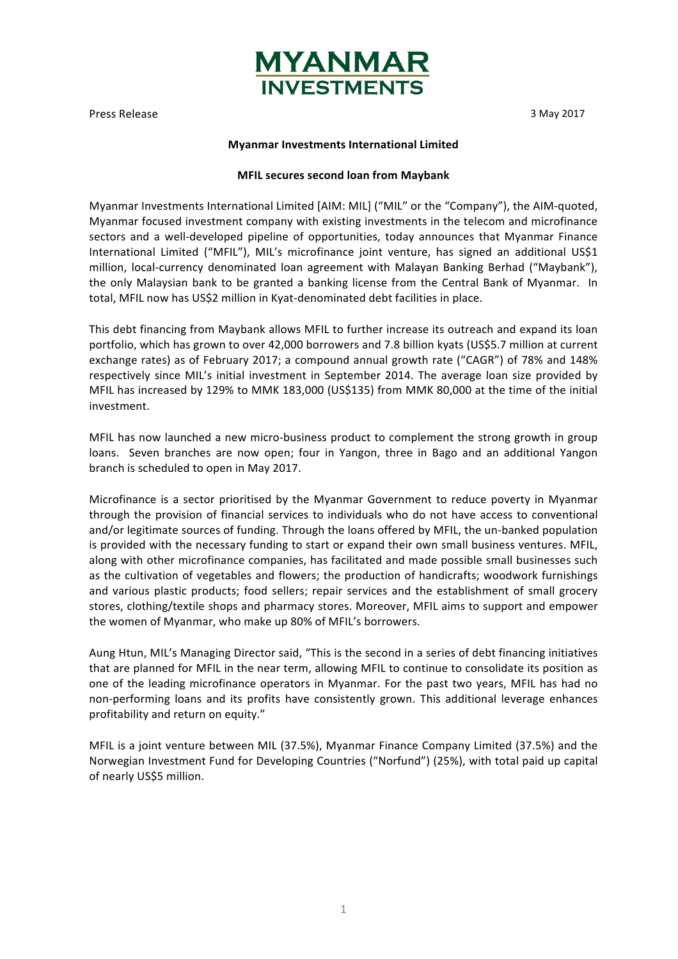

Press Release 3 May 2017

# **Myanmar Investments International Limited**

# **MFIL secures second loan from Maybank**

Myanmar Investments International Limited [AIM: MIL] ("MIL" or the "Company"), the AIM-quoted, Myanmar focused investment company with existing investments in the telecom and microfinance sectors and a well-developed pipeline of opportunities, today announces that Myanmar Finance International Limited ("MFIL"), MIL's microfinance joint venture, has signed an additional US\$1 million, local-currency denominated loan agreement with Malayan Banking Berhad ("Maybank"), the only Malaysian bank to be granted a banking license from the Central Bank of Myanmar. In total, MFIL now has US\$2 million in Kyat-denominated debt facilities in place.

This debt financing from Maybank allows MFIL to further increase its outreach and expand its loan portfolio, which has grown to over 42,000 borrowers and 7.8 billion kyats (US\$5.7 million at current exchange rates) as of February 2017; a compound annual growth rate ("CAGR") of 78% and 148% respectively since MIL's initial investment in September 2014. The average loan size provided by MFIL has increased by 129% to MMK 183,000 (US\$135) from MMK 80,000 at the time of the initial investment. 

MFIL has now launched a new micro-business product to complement the strong growth in group loans. Seven branches are now open; four in Yangon, three in Bago and an additional Yangon branch is scheduled to open in May 2017.

Microfinance is a sector prioritised by the Myanmar Government to reduce poverty in Myanmar through the provision of financial services to individuals who do not have access to conventional and/or legitimate sources of funding. Through the loans offered by MFIL, the un-banked population is provided with the necessary funding to start or expand their own small business ventures. MFIL, along with other microfinance companies, has facilitated and made possible small businesses such as the cultivation of vegetables and flowers; the production of handicrafts; woodwork furnishings and various plastic products; food sellers; repair services and the establishment of small grocery stores, clothing/textile shops and pharmacy stores. Moreover, MFIL aims to support and empower the women of Myanmar, who make up 80% of MFIL's borrowers.

Aung Htun, MIL's Managing Director said, "This is the second in a series of debt financing initiatives that are planned for MFIL in the near term, allowing MFIL to continue to consolidate its position as one of the leading microfinance operators in Myanmar. For the past two years, MFIL has had no non-performing loans and its profits have consistently grown. This additional leverage enhances profitability and return on equity."

MFIL is a joint venture between MIL (37.5%), Myanmar Finance Company Limited (37.5%) and the Norwegian Investment Fund for Developing Countries ("Norfund") (25%), with total paid up capital of nearly US\$5 million.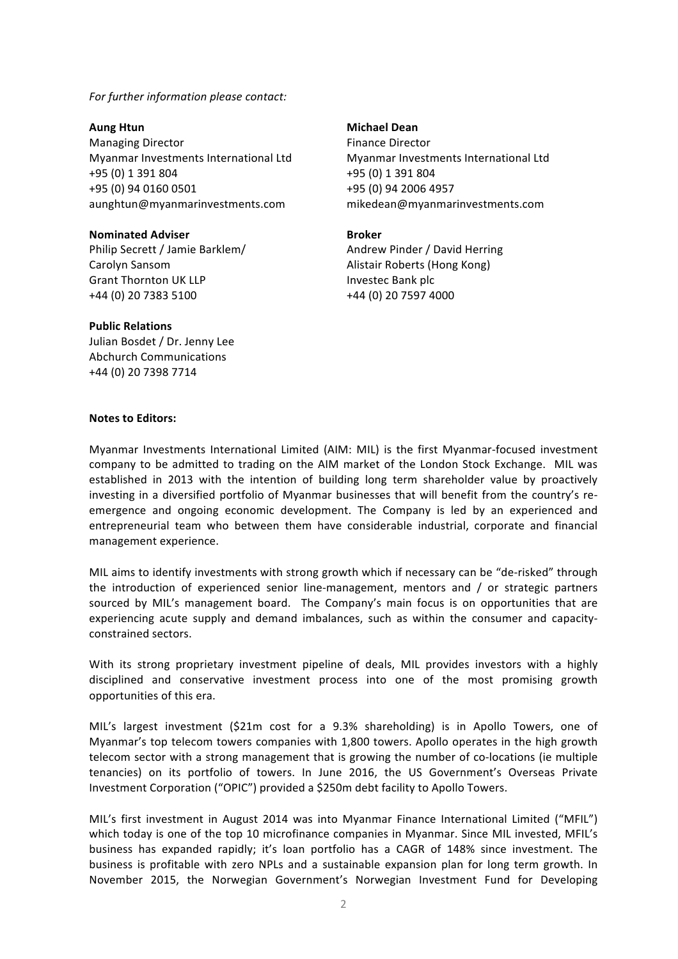For further information please contact:

**Aung Htun** Managing Director Myanmar Investments International Ltd +95 (0) 1 391 804 +95 (0) 94 0160 0501 aunghtun@myanmarinvestments.com

**Nominated Adviser** Philip Secrett / Jamie Barklem/ Carolyn Sansom Grant Thornton UK LLP +44 (0) 20 7383 5100

# **Michael Dean**

Finance Director Myanmar Investments International Ltd +95 (0) 1 391 804 +95 (0) 94 2006 4957 mikedean@myanmarinvestments.com

### **Broker**

Andrew Pinder / David Herring Alistair Roberts (Hong Kong) Investec Bank plc +44 (0) 20 7597 4000

# Julian Bosdet / Dr. Jenny Lee

**Public Relations**

Abchurch Communications +44 (0) 20 7398 7714 

#### **Notes to Editors:**

Myanmar Investments International Limited (AIM: MIL) is the first Myanmar-focused investment company to be admitted to trading on the AIM market of the London Stock Exchange. MIL was established in 2013 with the intention of building long term shareholder value by proactively investing in a diversified portfolio of Myanmar businesses that will benefit from the country's reemergence and ongoing economic development. The Company is led by an experienced and entrepreneurial team who between them have considerable industrial, corporate and financial management experience.

MIL aims to identify investments with strong growth which if necessary can be "de-risked" through the introduction of experienced senior line-management, mentors and  $/$  or strategic partners sourced by MIL's management board. The Company's main focus is on opportunities that are experiencing acute supply and demand imbalances, such as within the consumer and capacityconstrained sectors. 

With its strong proprietary investment pipeline of deals, MIL provides investors with a highly disciplined and conservative investment process into one of the most promising growth opportunities of this era.

MIL's largest investment (\$21m cost for a 9.3% shareholding) is in Apollo Towers, one of Myanmar's top telecom towers companies with 1,800 towers. Apollo operates in the high growth telecom sector with a strong management that is growing the number of co-locations (ie multiple tenancies) on its portfolio of towers. In June 2016, the US Government's Overseas Private Investment Corporation ("OPIC") provided a \$250m debt facility to Apollo Towers.

MIL's first investment in August 2014 was into Myanmar Finance International Limited ("MFIL") which today is one of the top 10 microfinance companies in Myanmar. Since MIL invested, MFIL's business has expanded rapidly; it's loan portfolio has a CAGR of 148% since investment. The business is profitable with zero NPLs and a sustainable expansion plan for long term growth. In November 2015, the Norwegian Government's Norwegian Investment Fund for Developing